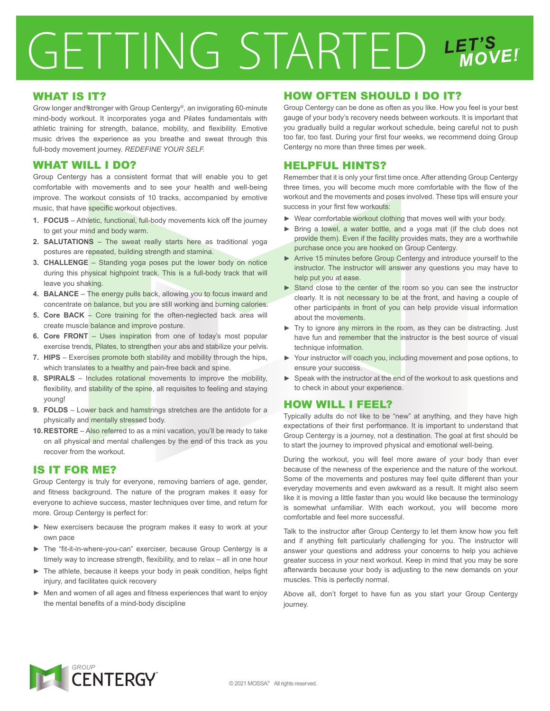# GETTING STARTED LET'S

### WHAT IS IT?

Grow longer and ®tronger with Group Centergy®, an invigorating 60-minute mind-body workout. It incorporates yoga and Pilates fundamentals with athletic training for strength, balance, mobility, and flexibility. Emotive music drives the experience as you breathe and sweat through this full-body movement journey. *REDEFINE YOUR SELF.*

### WHAT WILL I DO?

Group Centergy has a consistent format that will enable you to get comfortable with movements and to see your health and well-being improve. The workout consists of 10 tracks, accompanied by emotive music, that have specific workout objectives.

- **1. FOCUS** Athletic, functional, full-body movements kick off the journey to get your mind and body warm.
- **2. SALUTATIONS** The sweat really starts here as traditional yoga postures are repeated, building strength and stamina.
- **3. CHALLENGE** Standing yoga poses put the lower body on notice during this physical highpoint track. This is a full-body track that will leave you shaking.
- **4. BALANCE** The energy pulls back, allowing you to focus inward and concentrate on balance, but you are still working and burning calories.
- **5. Core BACK** Core training for the often-neglected back area will create muscle balance and improve posture.
- **6. Core FRONT** Uses inspiration from one of today's most popular exercise trends, Pilates, to strengthen your abs and stabilize your pelvis.
- **7. HIPS** Exercises promote both stability and mobility through the hips, which translates to a healthy and pain-free back and spine.
- **8. SPIRALS** Includes rotational movements to improve the mobility, flexibility, and stability of the spine, all requisites to feeling and staying young!
- **9. FOLDS** Lower back and hamstrings stretches are the antidote for a physically and mentally stressed body.
- **10. RESTORE** Also referred to as a mini vacation, you'll be ready to take on all physical and mental challenges by the end of this track as you recover from the workout.

# IS IT FOR ME?

Group Centergy is truly for everyone, removing barriers of age, gender, and fitness background. The nature of the program makes it easy for everyone to achieve success, master techniques over time, and return for more. Group Centergy is perfect for:

- ► New exercisers because the program makes it easy to work at your own pace
- ► The "fit-it-in-where-you-can" exerciser, because Group Centergy is a timely way to increase strength, flexibility, and to relax – all in one hour
- ► The athlete, because it keeps your body in peak condition, helps fight injury, and facilitates quick recovery
- ► Men and women of all ages and fitness experiences that want to enjoy the mental benefits of a mind-body discipline

# HOW OFTEN SHOULD I DO IT?

Group Centergy can be done as often as you like. How you feel is your best gauge of your body's recovery needs between workouts. It is important that you gradually build a regular workout schedule, being careful not to push too far, too fast. During your first four weeks, we recommend doing Group Centergy no more than three times per week.

# HELPFUL HINTS?

Remember that it is only your first time once. After attending Group Centergy three times, you will become much more comfortable with the flow of the workout and the movements and poses involved. These tips will ensure your success in your first few workouts:

- ► Wear comfortable workout clothing that moves well with your body.
- ► Bring a towel, a water bottle, and a yoga mat (if the club does not provide them). Even if the facility provides mats, they are a worthwhile purchase once you are hooked on Group Centergy.
- ► Arrive 15 minutes before Group Centergy and introduce yourself to the instructor. The instructor will answer any questions you may have to help put you at ease.
- ► Stand close to the center of the room so you can see the instructor clearly. It is not necessary to be at the front, and having a couple of other participants in front of you can help provide visual information about the movements.
- ► Try to ignore any mirrors in the room, as they can be distracting. Just have fun and remember that the instructor is the best source of visual technique information.
- ► Your instructor will coach you, including movement and pose options, to ensure your success.
- ► Speak with the instructor at the end of the workout to ask questions and to check in about your experience.

# HOW WILL I FEEL?

Typically adults do not like to be "new" at anything, and they have high expectations of their first performance. It is important to understand that Group Centergy is a journey, not a destination. The goal at first should be to start the journey to improved physical and emotional well-being.

During the workout, you will feel more aware of your body than ever because of the newness of the experience and the nature of the workout. Some of the movements and postures may feel quite different than your everyday movements and even awkward as a result. It might also seem like it is moving a little faster than you would like because the terminology is somewhat unfamiliar. With each workout, you will become more comfortable and feel more successful.

Talk to the instructor after Group Centergy to let them know how you felt and if anything felt particularly challenging for you. The instructor will answer your questions and address your concerns to help you achieve greater success in your next workout. Keep in mind that you may be sore afterwards because your body is adjusting to the new demands on your muscles. This is perfectly normal.

Above all, don't forget to have fun as you start your Group Centergy journey.